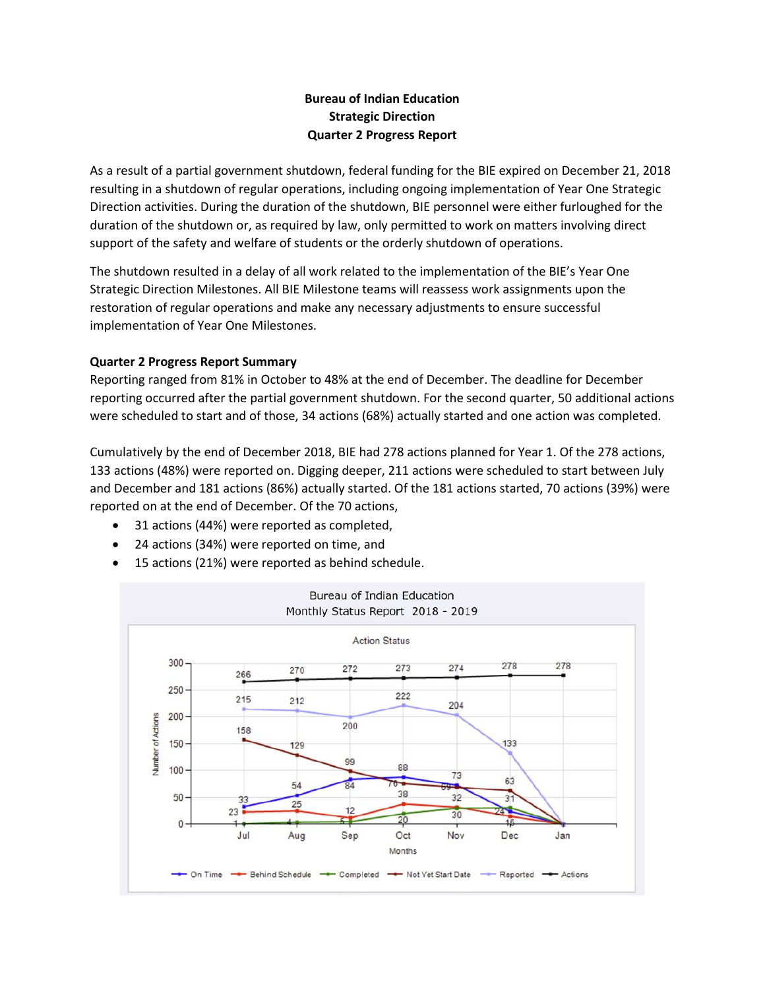# **Bureau of Indian Education Strategic Direction Quarter 2 Progress Report**

As a result of a partial government shutdown, federal funding for the BIE expired on December 21, 2018 resulting in a shutdown of regular operations, including ongoing implementation of Year One Strategic Direction activities. During the duration of the shutdown, BIE personnel were either furloughed for the duration of the shutdown or, as required by law, only permitted to work on matters involving direct support of the safety and welfare of students or the orderly shutdown of operations.

The shutdown resulted in a delay of all work related to the implementation of the BIE's Year One Strategic Direction Milestones. All BIE Milestone teams will reassess work assignments upon the restoration of regular operations and make any necessary adjustments to ensure successful implementation of Year One Milestones.

## **Quarter 2 Progress Report Summary**

Reporting ranged from 81% in October to 48% at the end of December. The deadline for December reporting occurred after the partial government shutdown. For the second quarter, 50 additional actions were scheduled to start and of those, 34 actions (68%) actually started and one action was completed.

Cumulatively by the end of December 2018, BIE had 278 actions planned for Year 1. Of the 278 actions, 133 actions (48%) were reported on. Digging deeper, 211 actions were scheduled to start between July and December and 181 actions (86%) actually started. Of the 181 actions started, 70 actions (39%) were reported on at the end of December. Of the 70 actions,

- 31 actions (44%) were reported as completed,
- 24 actions (34%) were reported on time, and
- 15 actions (21%) were reported as behind schedule.

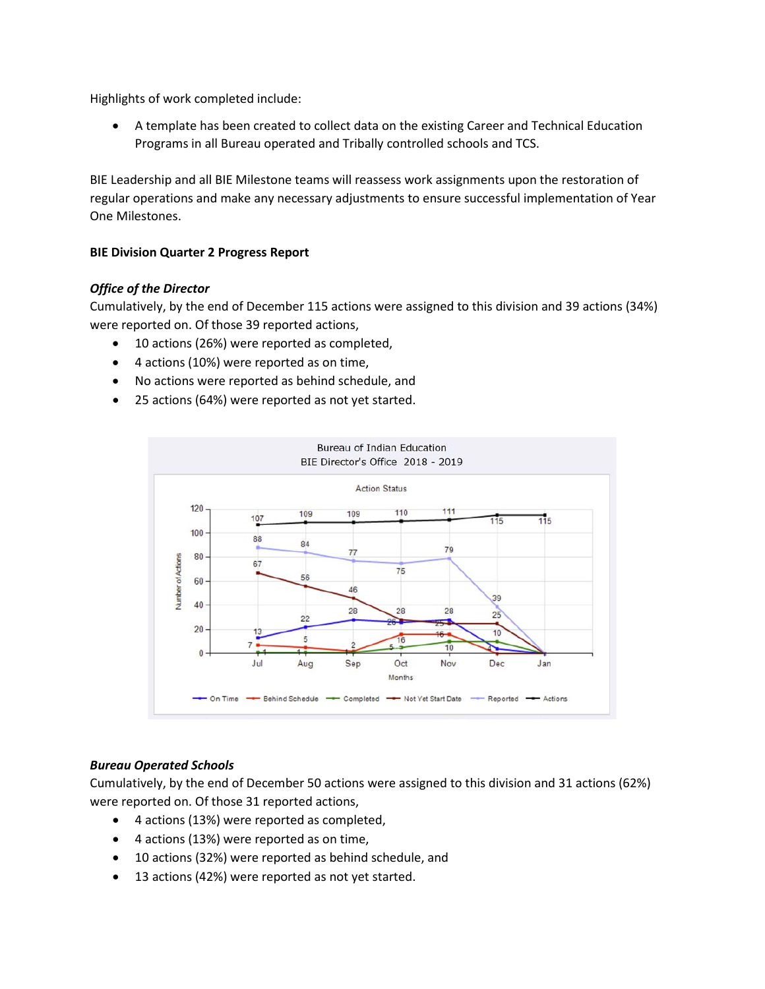Highlights of work completed include:

• A template has been created to collect data on the existing Career and Technical Education Programs in all Bureau operated and Tribally controlled schools and TCS.

BIE Leadership and all BIE Milestone teams will reassess work assignments upon the restoration of regular operations and make any necessary adjustments to ensure successful implementation of Year One Milestones.

## **BIE Division Quarter 2 Progress Report**

## *Office of the Director*

Cumulatively, by the end of December 115 actions were assigned to this division and 39 actions (34%) were reported on. Of those 39 reported actions,

- 10 actions (26%) were reported as completed,
- 4 actions (10%) were reported as on time,
- No actions were reported as behind schedule, and
- 25 actions (64%) were reported as not yet started.



### *Bureau Operated Schools*

Cumulatively, by the end of December 50 actions were assigned to this division and 31 actions (62%) were reported on. Of those 31 reported actions,

- 4 actions (13%) were reported as completed,
- 4 actions (13%) were reported as on time,
- 10 actions (32%) were reported as behind schedule, and
- 13 actions (42%) were reported as not yet started.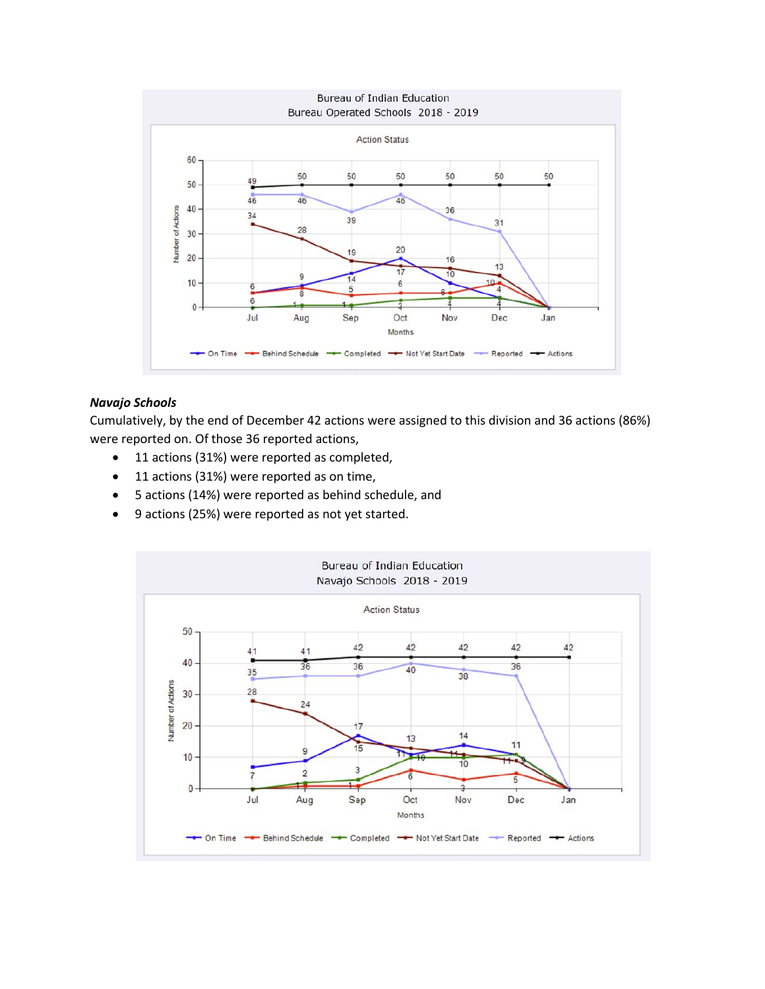

#### *Navajo Schools*

Cumulatively, by the end of December 42 actions were assigned to this division and 36 actions (86%) were reported on. Of those 36 reported actions,

- 11 actions (31%) were reported as completed,
- 11 actions (31%) were reported as on time,
- 5 actions (14%) were reported as behind schedule, and
- 9 actions (25%) were reported as not yet started.

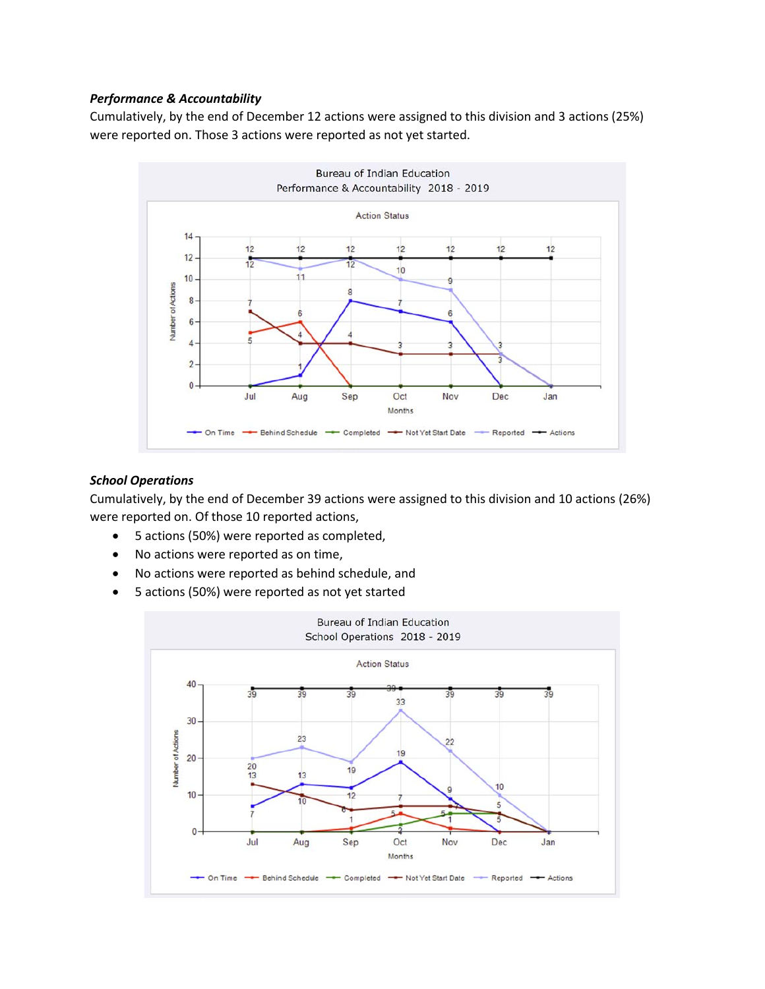## *Performance & Accountability*

Cumulatively, by the end of December 12 actions were assigned to this division and 3 actions (25%) were reported on. Those 3 actions were reported as not yet started.



### *School Operations*

Cumulatively, by the end of December 39 actions were assigned to this division and 10 actions (26%) were reported on. Of those 10 reported actions,

- 5 actions (50%) were reported as completed,
- No actions were reported as on time,
- No actions were reported as behind schedule, and
- 5 actions (50%) were reported as not yet started